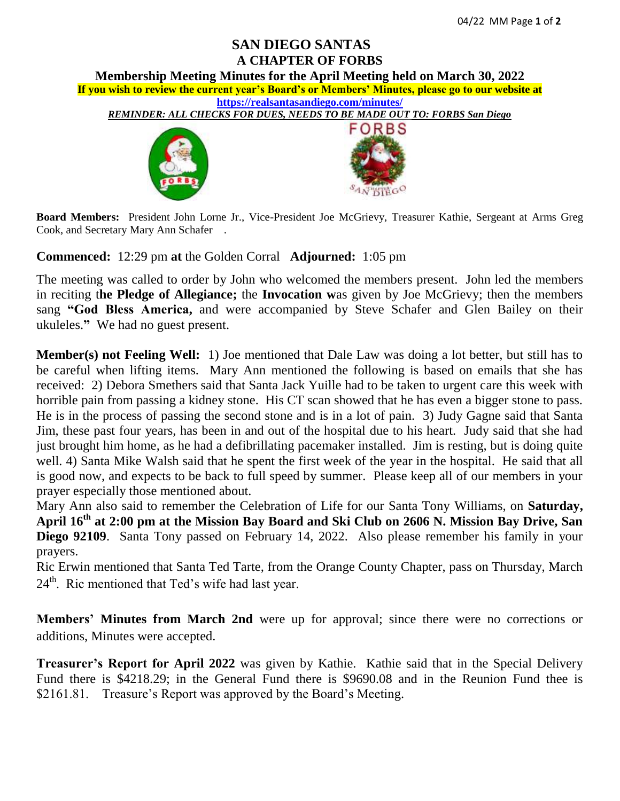## **SAN DIEGO SANTAS A CHAPTER OF FORBS**

**Membership Meeting Minutes for the April Meeting held on March 30, 2022** 

**If you wish to review the current year's Board's or Members' Minutes, please go to our website at <https://realsantasandiego.com/minutes/>**

*REMINDER: ALL CHECKS FOR DUES, NEEDS TO BE MADE OUT TO: FORBS San Diego*





**Board Members:** President John Lorne Jr., Vice-President Joe McGrievy, Treasurer Kathie, Sergeant at Arms Greg Cook, and Secretary Mary Ann Schafer .

**Commenced:** 12:29 pm **at** the Golden Corral **Adjourned:** 1:05 pm

The meeting was called to order by John who welcomed the members present. John led the members in reciting t**he Pledge of Allegiance;** the **Invocation w**as given by Joe McGrievy; then the members sang **"God Bless America,** and were accompanied by Steve Schafer and Glen Bailey on their ukuleles.**"** We had no guest present.

**Member(s) not Feeling Well:** 1) Joe mentioned that Dale Law was doing a lot better, but still has to be careful when lifting items. Mary Ann mentioned the following is based on emails that she has received: 2) Debora Smethers said that Santa Jack Yuille had to be taken to urgent care this week with horrible pain from passing a kidney stone. His CT scan showed that he has even a bigger stone to pass. He is in the process of passing the second stone and is in a lot of pain. 3) Judy Gagne said that Santa Jim, these past four years, has been in and out of the hospital due to his heart. Judy said that she had just brought him home, as he had a defibrillating pacemaker installed. Jim is resting, but is doing quite well. 4) Santa Mike Walsh said that he spent the first week of the year in the hospital. He said that all is good now, and expects to be back to full speed by summer. Please keep all of our members in your prayer especially those mentioned about.

Mary Ann also said to remember the Celebration of Life for our Santa Tony Williams, on **Saturday, April 16th at 2:00 pm at the Mission Bay Board and Ski Club on 2606 N. Mission Bay Drive, San Diego 92109**. Santa Tony passed on February 14, 2022. Also please remember his family in your prayers.

Ric Erwin mentioned that Santa Ted Tarte, from the Orange County Chapter, pass on Thursday, March  $24<sup>th</sup>$ . Ric mentioned that Ted's wife had last year.

**Members' Minutes from March 2nd** were up for approval; since there were no corrections or additions, Minutes were accepted.

**Treasurer's Report for April 2022** was given by Kathie. Kathie said that in the Special Delivery Fund there is \$4218.29; in the General Fund there is \$9690.08 and in the Reunion Fund thee is \$2161.81. Treasure's Report was approved by the Board's Meeting.